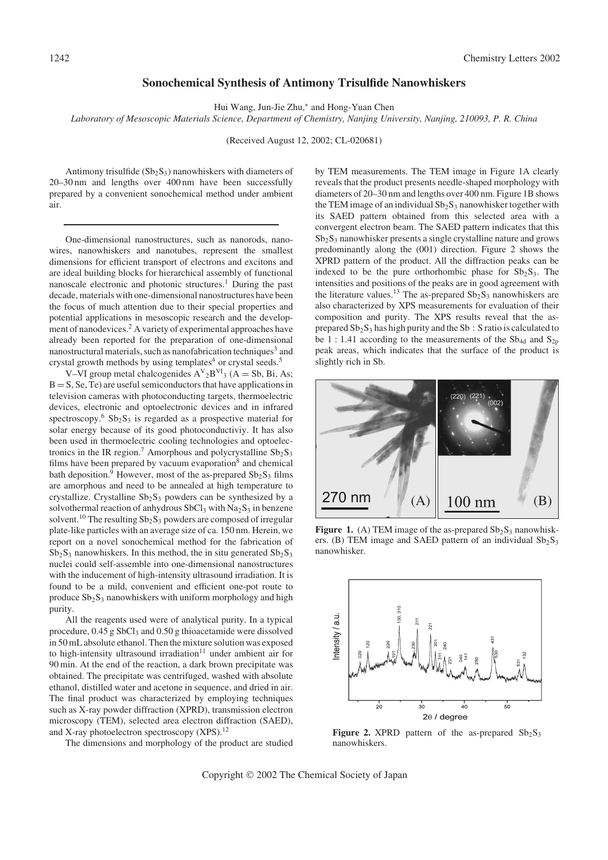## Sonochemical Synthesis of Antimony Trisulfide Nanowhiskers

Hui Wang, Jun-Jie Zhu,\* and Hong-Yuan Chen

Laboratory of Mesoscopic Materials Science, Department of Chemistry, Nanjing University, Nanjing, 210093, P. R. China

(Received August 12, 2002; CL-020681)

Antimony trisulfide  $(Sb<sub>2</sub>S<sub>3</sub>)$  nanowhiskers with diameters of 20–30 nm and lengths over 400 nm have been successfully prepared by a convenient sonochemical method under ambient air.

One-dimensional nanostructures, such as nanorods, nanowires, nanowhiskers and nanotubes, represent the smallest dimensions for efficient transport of electrons and excitons and are ideal building blocks for hierarchical assembly of functional nanoscale electronic and photonic structures.<sup>1</sup> During the past decade, materials with one-dimensional nanostructures have been the focus of much attention due to their special properties and potential applications in mesoscopic research and the development of nanodevices.<sup>2</sup> A variety of experimental approaches have already been reported for the preparation of one-dimensional nanostructural materials, such as nanofabrication techniques<sup>3</sup> and crystal growth methods by using templates<sup>4</sup> or crystal seeds.<sup>5</sup>

V–VI group metal chalcogenides  $A^V{}_2B^{VI}{}_3$  (A = Sb, Bi, As;  $B = S$ , Se, Te) are useful semiconductors that have applications in television cameras with photoconducting targets, thermoelectric devices, electronic and optoelectronic devices and in infrared spectroscopy.<sup>6</sup>  $Sb_2S_3$  is regarded as a prospective material for solar energy because of its good photoconductiviy. It has also been used in thermoelectric cooling technologies and optoelectronics in the IR region.<sup>7</sup> Amorphous and polycrystalline  $Sb_2S_3$ films have been prepared by vacuum evaporation $8$  and chemical bath deposition.<sup>9</sup> However, most of the as-prepared  $Sb_2S_3$  films are amorphous and need to be annealed at high temperature to crystallize. Crystalline  $Sb_2S_3$  powders can be synthesized by a solvothermal reaction of anhydrous  $SbCl_3$  with  $Na_2S_3$  in benzene solvent.<sup>10</sup> The resulting  $Sb_2S_3$  powders are composed of irregular plate-like particles with an average size of ca. 150 nm. Herein, we report on a novel sonochemical method for the fabrication of  $Sb_2S_3$  nanowhiskers. In this method, the in situ generated  $Sb_2S_3$ nuclei could self-assemble into one-dimensional nanostructures with the inducement of high-intensity ultrasound irradiation. It is found to be a mild, convenient and efficient one-pot route to produce  $Sb_2S_3$  nanowhiskers with uniform morphology and high purity.

All the reagents used were of analytical purity. In a typical procedure,  $0.45$  g SbCl<sub>3</sub> and  $0.50$  g thioacetamide were dissolved in 50 mL absolute ethanol. Then the mixture solution was exposed to high-intensity ultrasound irradiation $11$  under ambient air for 90 min. At the end of the reaction, a dark brown precipitate was obtained. The precipitate was centrifuged, washed with absolute ethanol, distilled water and acetone in sequence, and dried in air. The final product was characterized by employing techniques such as X-ray powder diffraction (XPRD), transmission electron microscopy (TEM), selected area electron diffraction (SAED), and X-ray photoelectron spectroscopy  $(XPS)$ .<sup>12</sup>

The dimensions and morphology of the product are studied

by TEM measurements. The TEM image in Figure 1A clearly reveals that the product presents needle-shaped morphology with diameters of 20–30 nm and lengths over 400 nm. Figure 1B shows the TEM image of an individual  $Sb_2S_3$  nanowhisker together with its SAED pattern obtained from this selected area with a convergent electron beam. The SAED pattern indicates that this  $Sb<sub>2</sub>S<sub>3</sub>$  nanowhisker presents a single crystalline nature and grows predominantly along the (001) direction. Figure 2 shows the XPRD pattern of the product. All the diffraction peaks can be indexed to be the pure orthorhombic phase for  $Sb_2S_3$ . The intensities and positions of the peaks are in good agreement with the literature values.<sup>13</sup> The as-prepared  $Sb_2S_3$  nanowhiskers are also characterized by XPS measurements for evaluation of their composition and purity. The XPS results reveal that the asprepared Sb2S<sup>3</sup> has high purity and the Sb : S ratio is calculated to be 1:1.41 according to the measurements of the  $Sb_{4d}$  and  $S_{2p}$ peak areas, which indicates that the surface of the product is slightly rich in Sb.



Figure 1. (A) TEM image of the as-prepared  $Sb_2S_3$  nanowhiskers. (B) TEM image and SAED pattern of an individual  $Sb_2S_3$ nanowhisker.



Figure 2. XPRD pattern of the as-prepared  $Sb_2S_3$ nanowhiskers.

Copyright © 2002 The Chemical Society of Japan